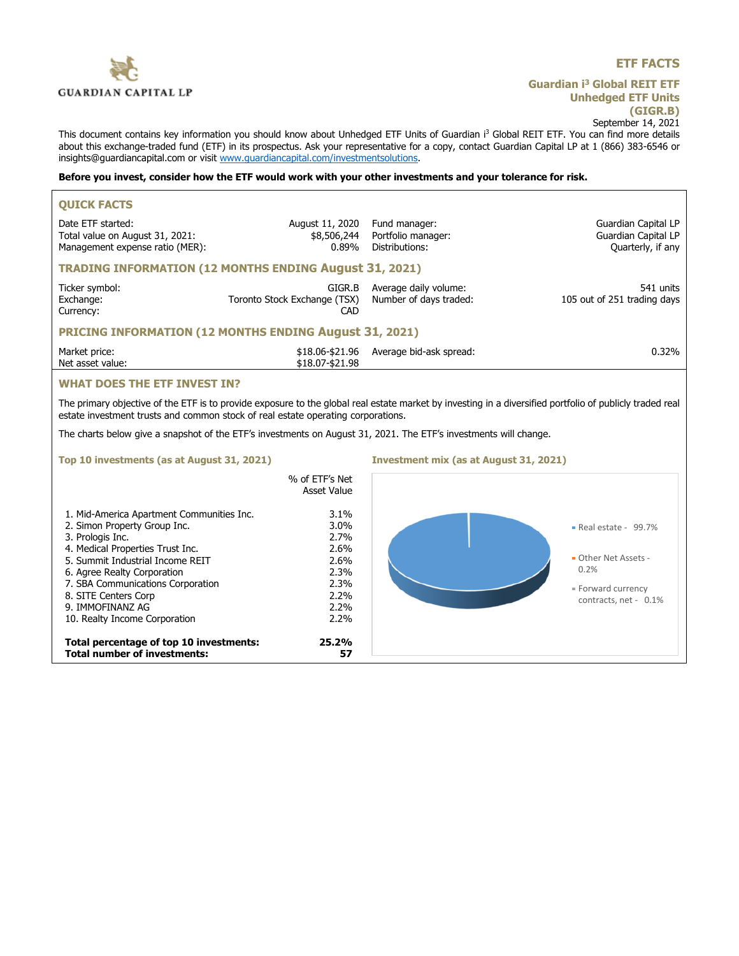

**Total percentage of top 10 investments: 25.2%**

**Total number of investments: 57**

## **ETF FACTS**

## **Guardian i<sup>3</sup> Global REIT ETF Unhedged ETF Units (GIGR.B)** September 14, 2021

This document contains key information you should know about Unhedged ETF Units of Guardian i<sup>3</sup> Global REIT ETF. You can find more details about this exchange-traded fund (ETF) in its prospectus. Ask your representative for a copy, contact Guardian Capital LP at 1 (866) 383-6546 or insights@guardiancapital.com or visit www.guardiancapital.com/investmentsolutions.

### **Before you invest, consider how the ETF would work with your other investments and your tolerance for risk.**

| <b>QUICK FACTS</b>                                                                                                                                                                                                                           |                                                      |                                                       |                                                                 |  |
|----------------------------------------------------------------------------------------------------------------------------------------------------------------------------------------------------------------------------------------------|------------------------------------------------------|-------------------------------------------------------|-----------------------------------------------------------------|--|
| Date ETF started:<br>Total value on August 31, 2021:<br>Management expense ratio (MER):                                                                                                                                                      | August 11, 2020<br>\$8,506,244<br>$0.89\%$           | Fund manager:<br>Portfolio manager:<br>Distributions: | Guardian Capital LP<br>Guardian Capital LP<br>Quarterly, if any |  |
| <b>TRADING INFORMATION (12 MONTHS ENDING August 31, 2021)</b>                                                                                                                                                                                |                                                      |                                                       |                                                                 |  |
| Ticker symbol:<br>Exchange:<br>Currency:                                                                                                                                                                                                     | GIGR.B<br>Toronto Stock Exchange (TSX)<br><b>CAD</b> | Average daily volume:<br>Number of days traded:       | 541 units<br>105 out of 251 trading days                        |  |
| <b>PRICING INFORMATION (12 MONTHS ENDING August 31, 2021)</b>                                                                                                                                                                                |                                                      |                                                       |                                                                 |  |
| Market price:<br>Net asset value:                                                                                                                                                                                                            | \$18.06-\$21.96<br>\$18.07-\$21.98                   | Average bid-ask spread:                               | 0.32%                                                           |  |
| <b>WHAT DOES THE ETF INVEST IN?</b>                                                                                                                                                                                                          |                                                      |                                                       |                                                                 |  |
| The primary objective of the ETF is to provide exposure to the global real estate market by investing in a diversified portfolio of publicly traded real<br>estate investment trusts and common stock of real estate operating corporations. |                                                      |                                                       |                                                                 |  |
| The charts below give a snapshot of the ETF's investments on August 31, 2021. The ETF's investments will change.                                                                                                                             |                                                      |                                                       |                                                                 |  |
| Top 10 investments (as at August 31, 2021)                                                                                                                                                                                                   |                                                      | <b>Investment mix (as at August 31, 2021)</b>         |                                                                 |  |
|                                                                                                                                                                                                                                              | % of ETF's Net<br><b>Asset Value</b>                 |                                                       |                                                                 |  |
| 1. Mid-America Apartment Communities Inc.<br>2. Simon Property Group Inc.<br>3. Prologis Inc.<br>4. Medical Properties Trust Inc.<br>5. Summit Industrial Income REIT                                                                        | 3.1%<br>3.0%<br>2.7%<br>2.6%<br>2.6%                 |                                                       | Real estate - 99.7%<br>Other Net Assets -                       |  |
| 6. Agree Realty Corporation<br>7. SBA Communications Corporation                                                                                                                                                                             | 2.3%<br>2.3%                                         |                                                       | 0.2%                                                            |  |
| 8. SITE Centers Corp<br>9. IMMOFINANZ AG<br>10. Realty Income Corporation                                                                                                                                                                    | 2.2%<br>2.2%<br>2.2%                                 |                                                       | · Forward currency<br>contracts, net - 0.1%                     |  |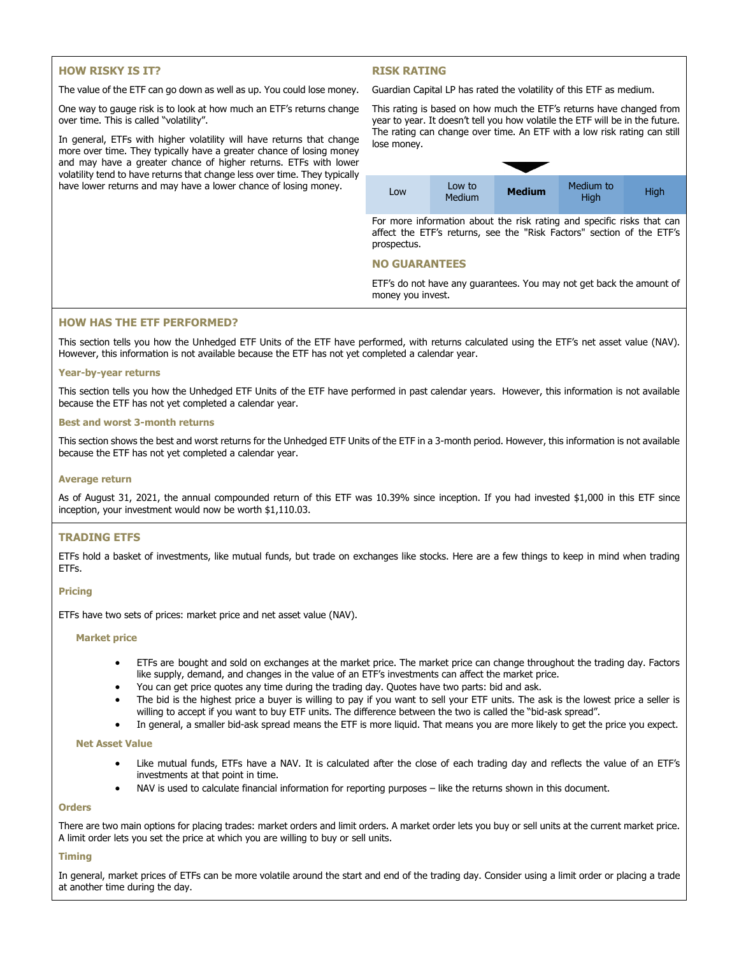# **HOW RISKY IS IT?**

The value of the ETF can go down as well as up. You could lose money.

One way to gauge risk is to look at how much an ETF's returns change over time. This is called "volatility".

In general, ETFs with higher volatility will have returns that change more over time. They typically have a greater chance of losing money and may have a greater chance of higher returns. ETFs with lower volatility tend to have returns that change less over time. They typically have lower returns and may have a lower chance of losing money.

# **RISK RATING**

Guardian Capital LP has rated the volatility of this ETF as medium.

This rating is based on how much the ETF's returns have changed from year to year. It doesn't tell you how volatile the ETF will be in the future. The rating can change over time. An ETF with a low risk rating can still lose money. Low to Low to **Low** Medium **Medium** Medium to **High** 

For more information about the risk rating and specific risks that can affect the ETF's returns, see the "Risk Factors" section of the ETF's prospectus.

### **NO GUARANTEES**

ETF's do not have any guarantees. You may not get back the amount of money you invest.

## **HOW HAS THE ETF PERFORMED?**

This section tells you how the Unhedged ETF Units of the ETF have performed, with returns calculated using the ETF's net asset value (NAV). However, this information is not available because the ETF has not yet completed a calendar year.

#### **Year-by-year returns**

This section tells you how the Unhedged ETF Units of the ETF have performed in past calendar years. However, this information is not available because the ETF has not yet completed a calendar year.

#### **Best and worst 3-month returns**

This section shows the best and worst returns for the Unhedged ETF Units of the ETF in a 3-month period. However, this information is not available because the ETF has not yet completed a calendar year.

### **Average return**

As of August 31, 2021, the annual compounded return of this ETF was 10.39% since inception. If you had invested \$1,000 in this ETF since inception, your investment would now be worth \$1,110.03.

## **TRADING ETFS**

ETFs hold a basket of investments, like mutual funds, but trade on exchanges like stocks. Here are a few things to keep in mind when trading ETFs.

### **Pricing**

ETFs have two sets of prices: market price and net asset value (NAV).

#### **Market price**

- ETFs are bought and sold on exchanges at the market price. The market price can change throughout the trading day. Factors like supply, demand, and changes in the value of an ETF's investments can affect the market price.
- You can get price quotes any time during the trading day. Quotes have two parts: bid and ask.
- The bid is the highest price a buyer is willing to pay if you want to sell your ETF units. The ask is the lowest price a seller is willing to accept if you want to buy ETF units. The difference between the two is called the "bid-ask spread".
- In general, a smaller bid-ask spread means the ETF is more liquid. That means you are more likely to get the price you expect.

#### **Net Asset Value**

- Like mutual funds, ETFs have a NAV. It is calculated after the close of each trading day and reflects the value of an ETF's investments at that point in time.
- NAV is used to calculate financial information for reporting purposes like the returns shown in this document.

#### **Orders**

There are two main options for placing trades: market orders and limit orders. A market order lets you buy or sell units at the current market price. A limit order lets you set the price at which you are willing to buy or sell units.

#### **Timing**

In general, market prices of ETFs can be more volatile around the start and end of the trading day. Consider using a limit order or placing a trade at another time during the day.